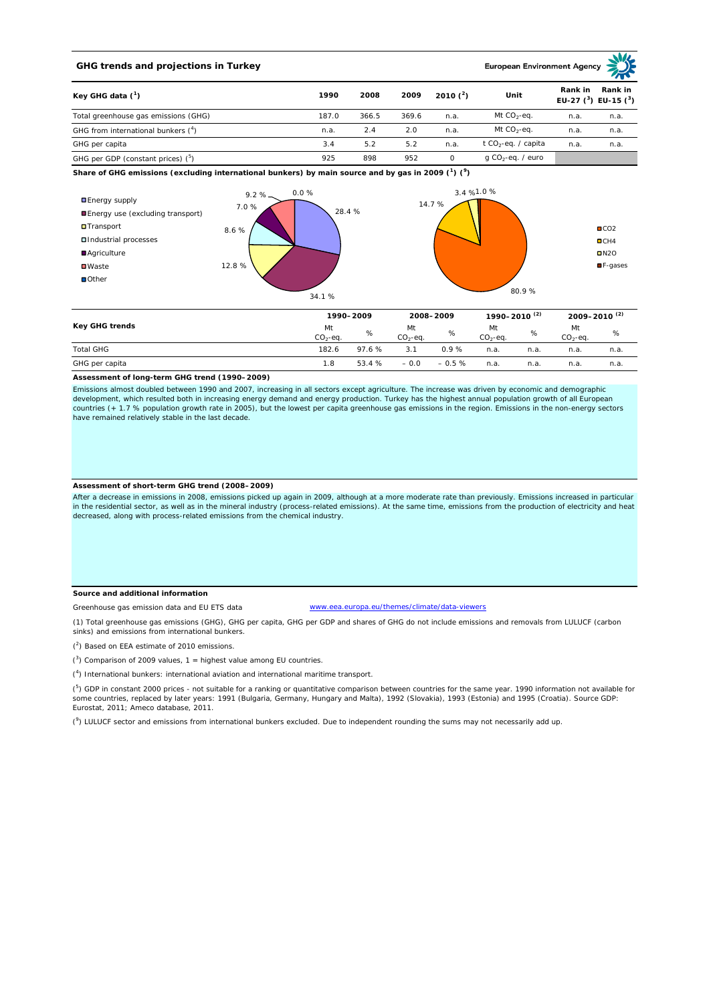## **GHG trends and projections in Turkey**

**European Environment Ag** 

| Key GHG data $(^1)$<br>Total greenhouse gas emissions (GHG) | 1990  | 2008  | 2009  | 2010 $(2)$ | Unit                            | Rank in<br>Rank in<br>EU-27 $(^3)$ EU-15 $(^3)$ |      |  |
|-------------------------------------------------------------|-------|-------|-------|------------|---------------------------------|-------------------------------------------------|------|--|
|                                                             | 187.0 | 366.5 | 369.6 | n.a.       | Mt $CO_2$ -eq.                  | n.a.                                            | n.a. |  |
| GHG from international bunkers (4)                          | n.a.  | 2.4   | 2.0   | n.a.       | Mt $CO_2$ -eq.                  | n.a.                                            | n.a. |  |
| GHG per capita                                              | 3.4   | 5.2   | 5.2   | n.a.       | t CO <sub>2</sub> -eq. / capita | n.a.                                            | n.a. |  |
| GHG per GDP (constant prices) $(^5)$                        | 925   | 898   | 952   |            | g CO <sub>2</sub> -eq. / euro   |                                                 |      |  |

**Share of GHG emissions (excluding international bunkers) by main source and by gas in 2009 (<sup>1</sup> ) (<sup>9</sup> )**



|                  | 1990-2009        |        | 2008-2009       |         | 1990-2010 <sup>(2)</sup> |      | 2009-2010 <sup>(2)</sup> |      |
|------------------|------------------|--------|-----------------|---------|--------------------------|------|--------------------------|------|
| Key GHG trends   | Mt<br>$CO2-ea$ . | %      | Mt<br>$CO2-ea.$ | %       | Mt<br>$CO2-eq.$          | %    | Mt<br>$CO2-eq.$          | %    |
| <b>Total GHG</b> | 182.6            | 97.6%  | 3.1             | 0.9%    | n.a.                     | n.a. | n.a.                     | n.a. |
| GHG per capita   | 1.8              | 53.4 % | $-0.0$          | $-0.5%$ | n.a.                     | n.a. | n.a.                     | n.a. |

#### **Assessment of long-term GHG trend (1990–2009)**

Emissions almost doubled between 1990 and 2007, increasing in all sectors except agriculture. The increase was driven by economic and demographic<br>development, which resulted both in increasing energy demand and energy prod countries (+ 1.7 % population growth rate in 2005), but the lowest per capita greenhouse gas emissions in the region. Emissions in the non-energy sectors have remained relatively stable in the last decade.

### **Assessment of short-term GHG trend (2008–2009)**

After a decrease in emissions in 2008, emissions picked up again in 2009, although at a more moderate rate than previously. Emissions increased in particular in the residential sector, as well as in the mineral industry (process-related emissions). At the same time, emissions from the production of electricity and heat decreased, along with process-related emissions from the chemical industry.

#### **Source and additional information**

Greenhouse gas emission data and EU ETS data

www.eea.europa.eu/themes/climate/data-viewers

(1) Total greenhouse gas emissions (GHG), GHG per capita, GHG per GDP and shares of GHG do not include emissions and removals from LULUCF (carbon sinks) and emissions from international bunkers.

 $(2)$  Based on EEA estimate of 2010 emissions.

 $(3)$  Comparison of 2009 values, 1 = highest value among EU countries.

( 4 ) International bunkers: international aviation and international maritime transport.

 $(^5)$  GDP in constant 2000 prices - not suitable for a ranking or quantitative comparison between countries for the same year. 1990 information not available for some countries, replaced by later years: 1991 (Bulgaria, Germany, Hungary and Malta), 1992 (Slovakia), 1993 (Estonia) and 1995 (Croatia). Source GDP: Eurostat, 2011; Ameco database, 2011.

(<sup>9</sup>) LULUCF sector and emissions from international bunkers excluded. Due to independent rounding the sums may not necessarily add up.